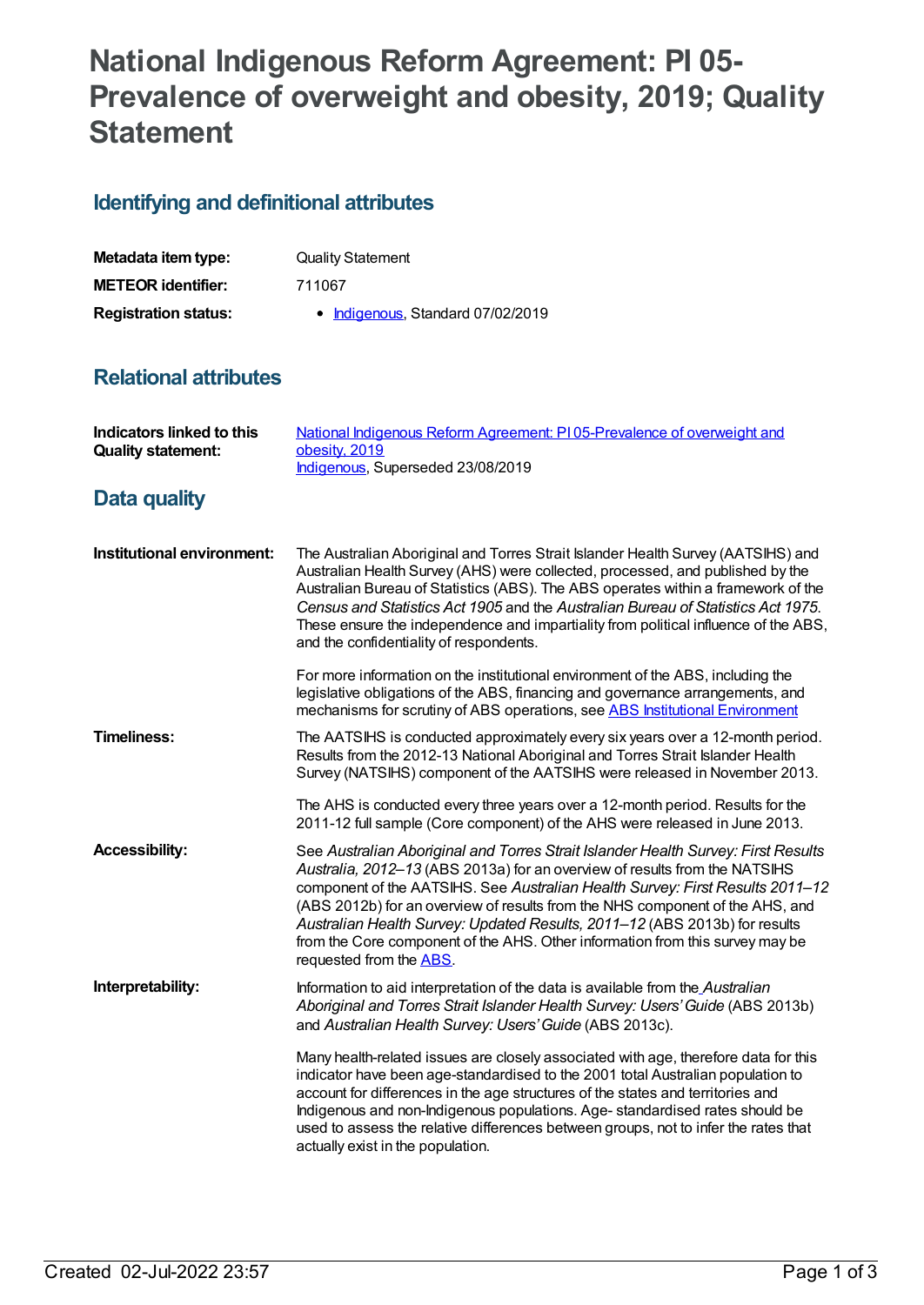## **National Indigenous Reform Agreement: PI 05- Prevalence of overweight and obesity, 2019; Quality Statement**

## **Identifying and definitional attributes**

| Metadata item type:         | <b>Quality Statement</b>          |
|-----------------------------|-----------------------------------|
| <b>METEOR identifier:</b>   | 711067                            |
| <b>Registration status:</b> | • Indigenous, Standard 07/02/2019 |

## **Relational attributes**

| <b>Indicators linked to this</b><br><b>Quality statement:</b> | National Indigenous Reform Agreement: PI05-Prevalence of overweight and<br>obesity, 2019<br>Indigenous, Superseded 23/08/2019                                                                                                                                                                                                                                                                                                                                                                                               |
|---------------------------------------------------------------|-----------------------------------------------------------------------------------------------------------------------------------------------------------------------------------------------------------------------------------------------------------------------------------------------------------------------------------------------------------------------------------------------------------------------------------------------------------------------------------------------------------------------------|
| Data quality                                                  |                                                                                                                                                                                                                                                                                                                                                                                                                                                                                                                             |
| Institutional environment:                                    | The Australian Aboriginal and Torres Strait Islander Health Survey (AATSIHS) and<br>Australian Health Survey (AHS) were collected, processed, and published by the<br>Australian Bureau of Statistics (ABS). The ABS operates within a framework of the<br>Census and Statistics Act 1905 and the Australian Bureau of Statistics Act 1975.<br>These ensure the independence and impartiality from political influence of the ABS,<br>and the confidentiality of respondents.                                               |
|                                                               | For more information on the institutional environment of the ABS, including the<br>legislative obligations of the ABS, financing and governance arrangements, and<br>mechanisms for scrutiny of ABS operations, see ABS Institutional Environment                                                                                                                                                                                                                                                                           |
| <b>Timeliness:</b>                                            | The AATSIHS is conducted approximately every six years over a 12-month period.<br>Results from the 2012-13 National Aboriginal and Torres Strait Islander Health<br>Survey (NATSIHS) component of the AATSIHS were released in November 2013.                                                                                                                                                                                                                                                                               |
|                                                               | The AHS is conducted every three years over a 12-month period. Results for the<br>2011-12 full sample (Core component) of the AHS were released in June 2013.                                                                                                                                                                                                                                                                                                                                                               |
| <b>Accessibility:</b>                                         | See Australian Aboriginal and Torres Strait Islander Health Survey: First Results<br>Australia, 2012-13 (ABS 2013a) for an overview of results from the NATSIHS<br>component of the AATSIHS. See Australian Health Survey: First Results 2011-12<br>(ABS 2012b) for an overview of results from the NHS component of the AHS, and<br>Australian Health Survey: Updated Results, 2011-12 (ABS 2013b) for results<br>from the Core component of the AHS. Other information from this survey may be<br>requested from the ABS. |
| Interpretability:                                             | Information to aid interpretation of the data is available from the_Australian<br>Aboriginal and Torres Strait Islander Health Survey: Users' Guide (ABS 2013b)<br>and Australian Health Survey: Users' Guide (ABS 2013c).                                                                                                                                                                                                                                                                                                  |
|                                                               | Many health-related issues are closely associated with age, therefore data for this<br>indicator have been age-standardised to the 2001 total Australian population to<br>account for differences in the age structures of the states and territories and<br>Indigenous and non-Indigenous populations. Age- standardised rates should be<br>used to assess the relative differences between groups, not to infer the rates that<br>actually exist in the population.                                                       |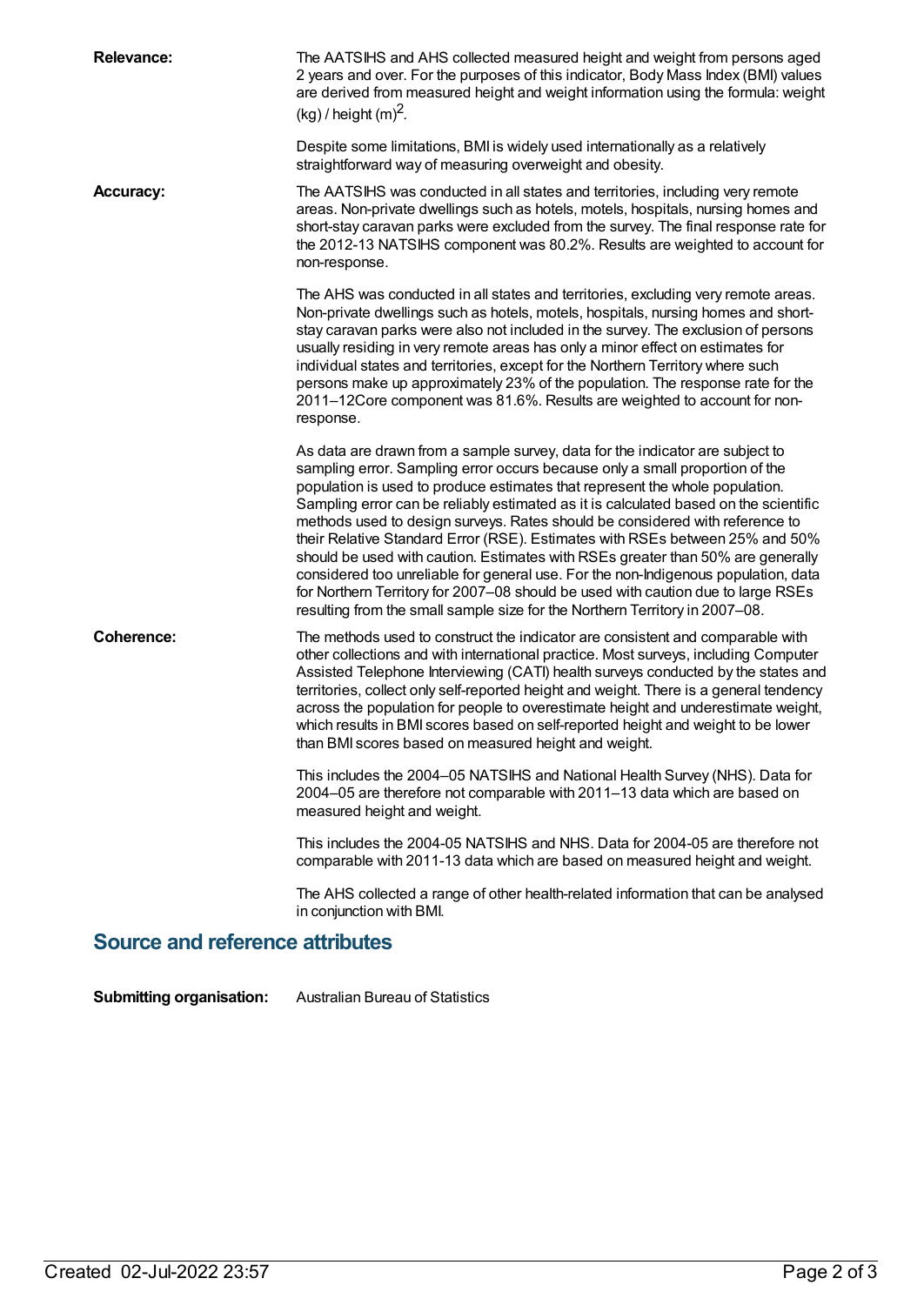| <b>Relevance:</b>                      | The AATSIHS and AHS collected measured height and weight from persons aged<br>2 years and over. For the purposes of this indicator, Body Mass Index (BMI) values<br>are derived from measured height and weight information using the formula: weight<br>$(kg)$ / height $(m)^2$ .                                                                                                                                                                                                                                                                                                                                                                                                                                                                                                                                                                |  |
|----------------------------------------|---------------------------------------------------------------------------------------------------------------------------------------------------------------------------------------------------------------------------------------------------------------------------------------------------------------------------------------------------------------------------------------------------------------------------------------------------------------------------------------------------------------------------------------------------------------------------------------------------------------------------------------------------------------------------------------------------------------------------------------------------------------------------------------------------------------------------------------------------|--|
|                                        | Despite some limitations, BMI is widely used internationally as a relatively<br>straightforward way of measuring overweight and obesity.                                                                                                                                                                                                                                                                                                                                                                                                                                                                                                                                                                                                                                                                                                          |  |
| <b>Accuracy:</b>                       | The AATSIHS was conducted in all states and territories, including very remote<br>areas. Non-private dwellings such as hotels, motels, hospitals, nursing homes and<br>short-stay caravan parks were excluded from the survey. The final response rate for<br>the 2012-13 NATSIHS component was 80.2%. Results are weighted to account for<br>non-response.                                                                                                                                                                                                                                                                                                                                                                                                                                                                                       |  |
|                                        | The AHS was conducted in all states and territories, excluding very remote areas.<br>Non-private dwellings such as hotels, motels, hospitals, nursing homes and short-<br>stay caravan parks were also not included in the survey. The exclusion of persons<br>usually residing in very remote areas has only a minor effect on estimates for<br>individual states and territories, except for the Northern Territory where such<br>persons make up approximately 23% of the population. The response rate for the<br>2011-12Core component was 81.6%. Results are weighted to account for non-<br>response.                                                                                                                                                                                                                                      |  |
|                                        | As data are drawn from a sample survey, data for the indicator are subject to<br>sampling error. Sampling error occurs because only a small proportion of the<br>population is used to produce estimates that represent the whole population.<br>Sampling error can be reliably estimated as it is calculated based on the scientific<br>methods used to design surveys. Rates should be considered with reference to<br>their Relative Standard Error (RSE). Estimates with RSEs between 25% and 50%<br>should be used with caution. Estimates with RSEs greater than 50% are generally<br>considered too unreliable for general use. For the non-Indigenous population, data<br>for Northern Territory for 2007-08 should be used with caution due to large RSEs<br>resulting from the small sample size for the Northern Territory in 2007-08. |  |
| <b>Coherence:</b>                      | The methods used to construct the indicator are consistent and comparable with<br>other collections and with international practice. Most surveys, including Computer<br>Assisted Telephone Interviewing (CATI) health surveys conducted by the states and<br>territories, collect only self-reported height and weight. There is a general tendency<br>across the population for people to overestimate height and underestimate weight,<br>which results in BMI scores based on self-reported height and weight to be lower<br>than BMI scores based on measured height and weight.                                                                                                                                                                                                                                                             |  |
|                                        | This includes the 2004–05 NATSIHS and National Health Survey (NHS). Data for<br>2004–05 are therefore not comparable with 2011–13 data which are based on<br>measured height and weight.                                                                                                                                                                                                                                                                                                                                                                                                                                                                                                                                                                                                                                                          |  |
|                                        | This includes the 2004-05 NATSIHS and NHS. Data for 2004-05 are therefore not<br>comparable with 2011-13 data which are based on measured height and weight.                                                                                                                                                                                                                                                                                                                                                                                                                                                                                                                                                                                                                                                                                      |  |
|                                        | The AHS collected a range of other health-related information that can be analysed<br>in conjunction with BMI.                                                                                                                                                                                                                                                                                                                                                                                                                                                                                                                                                                                                                                                                                                                                    |  |
| <b>Source and reference attributes</b> |                                                                                                                                                                                                                                                                                                                                                                                                                                                                                                                                                                                                                                                                                                                                                                                                                                                   |  |

**Submitting organisation:** Australian Bureau of Statistics